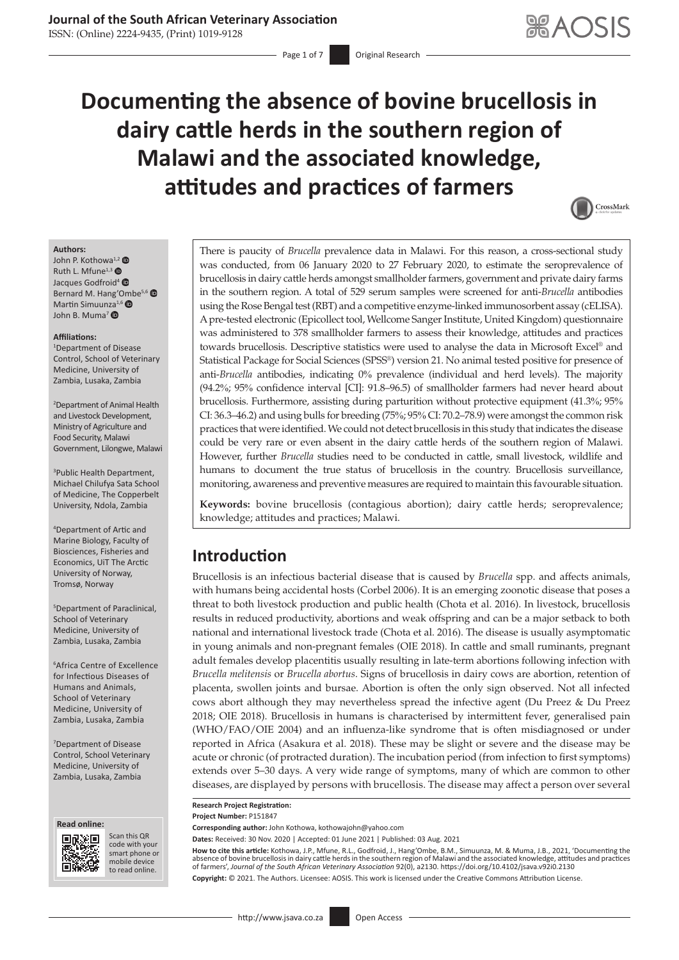# **Journal of the South African Veterinary Association**

ISSN: (Online) 2224-9435, (Print) 1019-9128

Page 1 of 7 **Original Research** 

# **Documenting the absence of bovine brucellosis in dairy cattle herds in the southern region of Malawi and the associated knowledge, attitudes and practices of farmers**



#### **Authors:**

 $John P. Kothowa<sup>1,2</sup>  $\bullet$$  $John P. Kothowa<sup>1,2</sup>  $\bullet$$  $John P. Kothowa<sup>1,2</sup>  $\bullet$$  $John P. Kothowa<sup>1,2</sup>  $\bullet$$  $John P. Kothowa<sup>1,2</sup>  $\bullet$$ Ruth L. Mfune<sup>1,3</sup> Jacques Godfroid<sup>[4](https://orcid.org/0000-0002-0782-7858)</sup> <sup>®</sup> Bernard M. Hang'[Omb](https://orcid.org/0000-0001-6621-7470)e<sup>5,6</sup> Martin Simuu[nza](https://orcid.org/0000-0001-6180-4051)<sup>1,6</sup> John B. Muma7

#### **Affiliations:**

1 Department of Disease Control, School of Veterinary Medicine, University of Zambia, Lusaka, Zambia

2 Department of Animal Health and Livestock Development, Ministry of Agriculture and Food Security, Malawi Government, Lilongwe, Malawi

3 Public Health Department, Michael Chilufya Sata School of Medicine, The Copperbelt University, Ndola, Zambia

4 Department of Artic and Marine Biology, Faculty of Biosciences, Fisheries and Economics, UiT The Arctic University of Norway, Tromsø, Norway

5 Department of Paraclinical, School of Veterinary Medicine, University of Zambia, Lusaka, Zambia

6 Africa Centre of Excellence for Infectious Diseases of Humans and Animals, School of Veterinary Medicine, University of Zambia, Lusaka, Zambia

7 Department of Disease Control, School Veterinary Medicine, University of Zambia, Lusaka, Zambia





Scan this QR code with your Scan this QR<br>code with your<br>smart phone or<br>mobile device mobile device to read online. to read online.

There is paucity of *Brucella* prevalence data in Malawi. For this reason, a cross-sectional study was conducted, from 06 January 2020 to 27 February 2020, to estimate the seroprevalence of brucellosis in dairy cattle herds amongst smallholder farmers, government and private dairy farms in the southern region. A total of 529 serum samples were screened for anti-*Brucella* antibodies using the Rose Bengal test (RBT) and a competitive enzyme-linked immunosorbent assay (cELISA). A pre-tested electronic (Epicollect tool, Wellcome Sanger Institute, United Kingdom) questionnaire was administered to 378 smallholder farmers to assess their knowledge, attitudes and practices towards brucellosis. Descriptive statistics were used to analyse the data in Microsoft Excel® and Statistical Package for Social Sciences (SPSS®) version 21. No animal tested positive for presence of anti-*Brucella* antibodies, indicating 0% prevalence (individual and herd levels). The majority (94.2%; 95% confidence interval [CI]: 91.8–96.5) of smallholder farmers had never heard about brucellosis. Furthermore, assisting during parturition without protective equipment (41.3%; 95% CI: 36.3–46.2) and using bulls for breeding (75%; 95% CI: 70.2–78.9) were amongst the common risk practices that were identified. We could not detect brucellosis in this study that indicates the disease could be very rare or even absent in the dairy cattle herds of the southern region of Malawi. However, further *Brucella* studies need to be conducted in cattle, small livestock, wildlife and humans to document the true status of brucellosis in the country. Brucellosis surveillance, monitoring, awareness and preventive measures are required to maintain this favourable situation.

**Keywords:** bovine brucellosis (contagious abortion); dairy cattle herds; seroprevalence; knowledge; attitudes and practices; Malawi.

# **Introduction**

Brucellosis is an infectious bacterial disease that is caused by *Brucella* spp. and affects animals, with humans being accidental hosts (Corbel 2006). It is an emerging zoonotic disease that poses a threat to both livestock production and public health (Chota et al. 2016). In livestock, brucellosis results in reduced productivity, abortions and weak offspring and can be a major setback to both national and international livestock trade (Chota et al. 2016). The disease is usually asymptomatic in young animals and non-pregnant females (OIE 2018). In cattle and small ruminants, pregnant adult females develop placentitis usually resulting in late-term abortions following infection with *Brucella melitensis* or *Brucella abortus*. Signs of brucellosis in dairy cows are abortion, retention of placenta, swollen joints and bursae. Abortion is often the only sign observed. Not all infected cows abort although they may nevertheless spread the infective agent (Du Preez & Du Preez 2018; OIE 2018). Brucellosis in humans is characterised by intermittent fever, generalised pain (WHO/FAO/OIE 2004) and an influenza-like syndrome that is often misdiagnosed or under reported in Africa (Asakura et al. 2018). These may be slight or severe and the disease may be acute or chronic (of protracted duration). The incubation period (from infection to first symptoms) extends over 5–30 days. A very wide range of symptoms, many of which are common to other diseases, are displayed by persons with brucellosis. The disease may affect a person over several

**Research Project Registration: Project Number:** P151847

**Corresponding author:** John Kothowa, [kothowajohn@yahoo.com](mailto:kothowajohn@yahoo.com)

**Dates:** Received: 30 Nov. 2020 | Accepted: 01 June 2021 | Published: 03 Aug. 2021

**How to cite this article:** Kothowa, J.P., Mfune, R.L., Godfroid, J., Hang'Ombe, B.M., Simuunza, M. & Muma, J.B., 2021, 'Documenting the absence of bovine brucellosis in dairy cattle herds in the southern region of Malawi and the associated knowledge, attitudes and practices<br>of farmers', *Journal of the South African Veterinary Association* 92(0), a2130. ht **Copyright:** © 2021. The Authors. Licensee: AOSIS. This work is licensed under the Creative Commons Attribution License.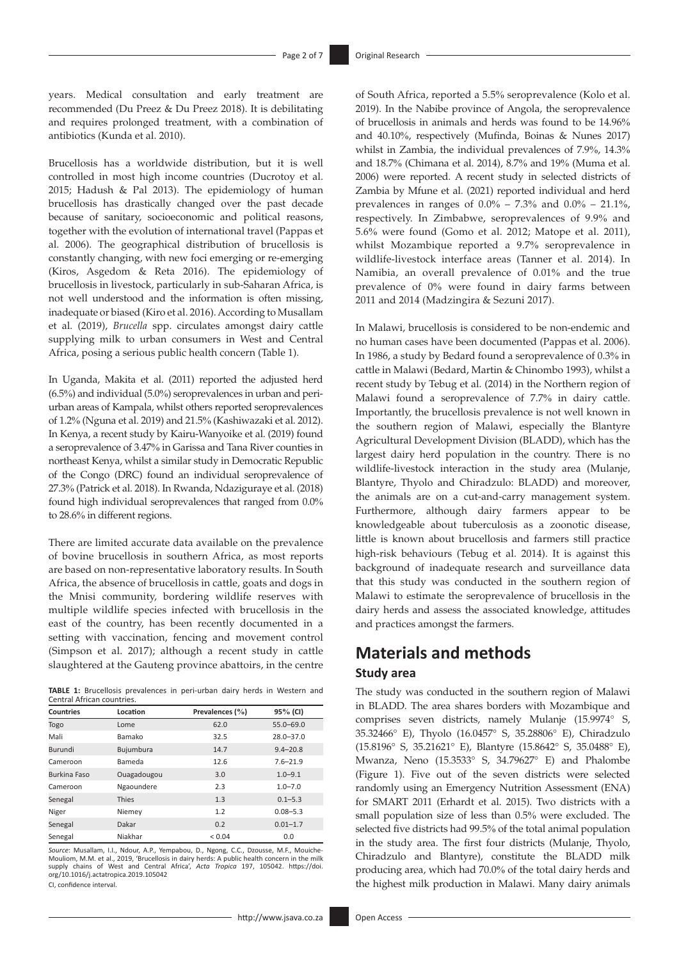years. Medical consultation and early treatment are recommended (Du Preez & Du Preez 2018). It is debilitating and requires prolonged treatment, with a combination of antibiotics (Kunda et al. 2010).

Brucellosis has a worldwide distribution, but it is well controlled in most high income countries (Ducrotoy et al. 2015; Hadush & Pal 2013). The epidemiology of human brucellosis has drastically changed over the past decade because of sanitary, socioeconomic and political reasons, together with the evolution of international travel (Pappas et al. 2006). The geographical distribution of brucellosis is constantly changing, with new foci emerging or re-emerging (Kiros, Asgedom & Reta 2016). The epidemiology of brucellosis in livestock, particularly in sub-Saharan Africa, is not well understood and the information is often missing, inadequate or biased (Kiro et al. 2016). According to Musallam et al. (2019), *Brucella* spp. circulates amongst dairy cattle supplying milk to urban consumers in West and Central Africa, posing a serious public health concern (Table 1).

In Uganda, Makita et al. (2011) reported the adjusted herd (6.5%) and individual (5.0%) seroprevalences in urban and periurban areas of Kampala, whilst others reported seroprevalences of 1.2% (Nguna et al. 2019) and 21.5% (Kashiwazaki et al. 2012). In Kenya, a recent study by Kairu-Wanyoike et al. (2019) found a seroprevalence of 3.47% in Garissa and Tana River counties in northeast Kenya, whilst a similar study in Democratic Republic of the Congo (DRC) found an individual seroprevalence of 27.3% (Patrick et al. 2018). In Rwanda, Ndaziguraye et al. (2018) found high individual seroprevalences that ranged from 0.0% to 28.6% in different regions.

There are limited accurate data available on the prevalence of bovine brucellosis in southern Africa, as most reports are based on non-representative laboratory results. In South Africa, the absence of brucellosis in cattle, goats and dogs in the Mnisi community, bordering wildlife reserves with multiple wildlife species infected with brucellosis in the east of the country, has been recently documented in a setting with vaccination, fencing and movement control (Simpson et al. 2017); although a recent study in cattle slaughtered at the Gauteng province abattoirs, in the centre

**TABLE 1:** Brucellosis prevalences in peri-urban dairy herds in Western and Central African countries.

| <b>Countries</b>    | Location    | Prevalences (%) | 95% (CI)      |
|---------------------|-------------|-----------------|---------------|
| Togo                | Lome        | 62.0            | $55.0 - 69.0$ |
| Mali                | Bamako      | 32.5            | $28.0 - 37.0$ |
| Burundi             | Bujumbura   | 14.7            | $9.4 - 20.8$  |
| Cameroon            | Bameda      | 12.6            | $7.6 - 21.9$  |
| <b>Burkina Faso</b> | Ouagadougou | 3.0             | $1.0 - 9.1$   |
| Cameroon            | Ngaoundere  | 2.3             | $1.0 - 7.0$   |
| Senegal             | Thies       | 1.3             | $0.1 - 5.3$   |
| Niger               | Niemey      | 1.2             | $0.08 - 5.3$  |
| Senegal             | Dakar       | 0.2             | $0.01 - 1.7$  |
| Senegal             | Niakhar     | ${}_{0.04}$     | 0.0           |

*Source*: Musallam, I.I., Ndour, A.P., Yempabou, D., Ngong, C.C., Dzousse, M.F., Mouiche-Mouliom. M.M. et al., 2019, 'Brucellosis in dairy herds: A public health concern in the n supply chains of West and Central Africa', *Acta Tropica* 197, 105042. [https://doi.](https://doi.org/10.1016/j.actatropica.2019.105042) [org/10.1016/j.actatropica.2019.105042](https://doi.org/10.1016/j.actatropica.2019.105042) CI, confidence interval.

of South Africa, reported a 5.5% seroprevalence (Kolo et al. 2019). In the Nabibe province of Angola, the seroprevalence of brucellosis in animals and herds was found to be 14.96% and 40.10%, respectively (Mufinda, Boinas & Nunes 2017) whilst in Zambia, the individual prevalences of 7.9%, 14.3% and 18.7% (Chimana et al. 2014), 8.7% and 19% (Muma et al. 2006) were reported. A recent study in selected districts of Zambia by Mfune et al. (2021) reported individual and herd prevalences in ranges of  $0.0\% - 7.3\%$  and  $0.0\% - 21.1\%$ , respectively. In Zimbabwe, seroprevalences of 9.9% and 5.6% were found (Gomo et al. 2012; Matope et al. 2011), whilst Mozambique reported a 9.7% seroprevalence in wildlife-livestock interface areas (Tanner et al. 2014). In Namibia, an overall prevalence of 0.01% and the true prevalence of 0% were found in dairy farms between 2011 and 2014 (Madzingira & Sezuni 2017).

In Malawi, brucellosis is considered to be non-endemic and no human cases have been documented (Pappas et al. 2006). In 1986, a study by Bedard found a seroprevalence of 0.3% in cattle in Malawi (Bedard, Martin & Chinombo 1993), whilst a recent study by Tebug et al. (2014) in the Northern region of Malawi found a seroprevalence of 7.7% in dairy cattle. Importantly, the brucellosis prevalence is not well known in the southern region of Malawi, especially the Blantyre Agricultural Development Division (BLADD), which has the largest dairy herd population in the country. There is no wildlife-livestock interaction in the study area (Mulanje, Blantyre, Thyolo and Chiradzulo: BLADD) and moreover, the animals are on a cut-and-carry management system. Furthermore, although dairy farmers appear to be knowledgeable about tuberculosis as a zoonotic disease, little is known about brucellosis and farmers still practice high-risk behaviours (Tebug et al. 2014). It is against this background of inadequate research and surveillance data that this study was conducted in the southern region of Malawi to estimate the seroprevalence of brucellosis in the dairy herds and assess the associated knowledge, attitudes and practices amongst the farmers.

# **Materials and methods Study area**

The study was conducted in the southern region of Malawi in BLADD. The area shares borders with Mozambique and comprises seven districts, namely Mulanje (15.9974° S, 35.32466° E), Thyolo (16.0457° S, 35.28806° E), Chiradzulo (15.8196° S, 35.21621° E), Blantyre (15.8642° S, 35.0488° E), Mwanza, Neno (15.3533° S, 34.79627° E) and Phalombe (Figure 1). Five out of the seven districts were selected randomly using an Emergency Nutrition Assessment (ENA) for SMART 2011 (Erhardt et al. 2015). Two districts with a small population size of less than 0.5% were excluded. The selected five districts had 99.5% of the total animal population in the study area. The first four districts (Mulanje, Thyolo, Chiradzulo and Blantyre), constitute the BLADD milk producing area, which had 70.0% of the total dairy herds and the highest milk production in Malawi. Many dairy animals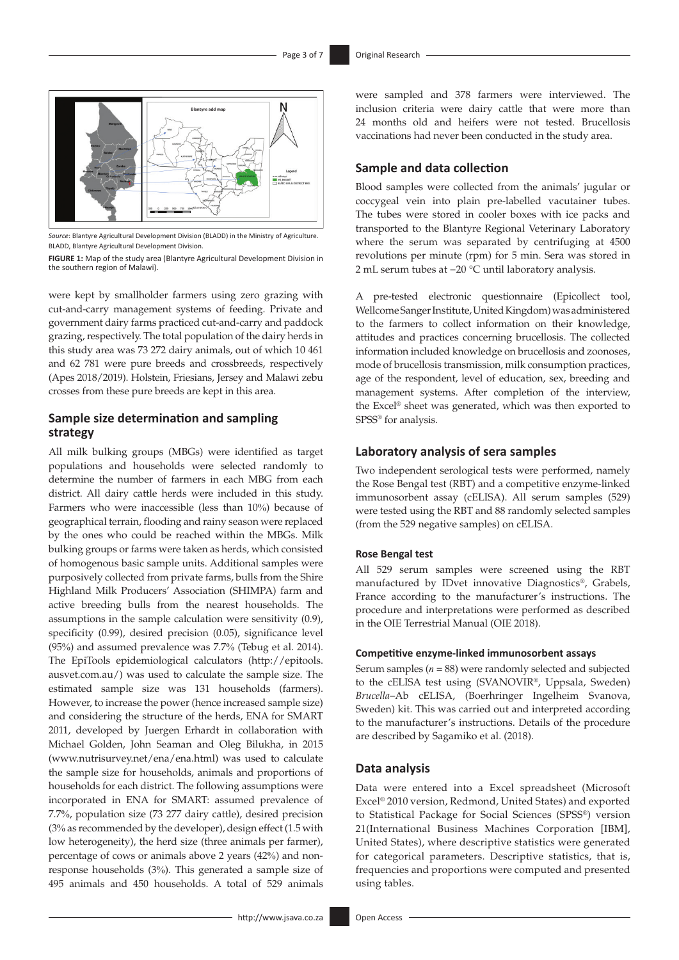

*Source*: Blantyre Agricultural Development Division (BLADD) in the Ministry of Agriculture. BLADD, Blantyre Agricultural Development Division.

**FIGURE 1:** Map of the study area (Blantyre Agricultural Development Division in the southern region of Malawi).

were kept by smallholder farmers using zero grazing with cut-and-carry management systems of feeding. Private and government dairy farms practiced cut-and-carry and paddock grazing, respectively. The total population of the dairy herds in this study area was 73 272 dairy animals, out of which 10 461 and 62 781 were pure breeds and crossbreeds, respectively (Apes 2018/2019). Holstein, Friesians, Jersey and Malawi zebu crosses from these pure breeds are kept in this area.

#### **Sample size determination and sampling strategy**

All milk bulking groups (MBGs) were identified as target populations and households were selected randomly to determine the number of farmers in each MBG from each district. All dairy cattle herds were included in this study. Farmers who were inaccessible (less than 10%) because of geographical terrain, flooding and rainy season were replaced by the ones who could be reached within the MBGs. Milk bulking groups or farms were taken as herds, which consisted of homogenous basic sample units. Additional samples were purposively collected from private farms, bulls from the Shire Highland Milk Producers' Association (SHIMPA) farm and active breeding bulls from the nearest households. The assumptions in the sample calculation were sensitivity (0.9), specificity (0.99), desired precision (0.05), significance level (95%) and assumed prevalence was 7.7% (Tebug et al. 2014). The EpiTools epidemiological calculators ([http://epitools.](http://epitools.ausvet.com.au/) [ausvet.com.au/\)](http://epitools.ausvet.com.au/) was used to calculate the sample size. The estimated sample size was 131 households (farmers). However, to increase the power (hence increased sample size) and considering the structure of the herds, ENA for SMART 2011, developed by Juergen Erhardt in collaboration with Michael Golden, John Seaman and Oleg Bilukha, in 2015 [\(www.nutrisurvey.net/ena/ena.html\)](www.nutrisurvey.net/ena/ena.html) was used to calculate the sample size for households, animals and proportions of households for each district. The following assumptions were incorporated in ENA for SMART: assumed prevalence of 7.7%, population size (73 277 dairy cattle), desired precision (3% as recommended by the developer), design effect (1.5 with low heterogeneity), the herd size (three animals per farmer), percentage of cows or animals above 2 years (42%) and nonresponse households (3%). This generated a sample size of 495 animals and 450 households. A total of 529 animals

were sampled and 378 farmers were interviewed. The inclusion criteria were dairy cattle that were more than 24 months old and heifers were not tested. Brucellosis vaccinations had never been conducted in the study area.

#### **Sample and data collection**

Blood samples were collected from the animals' jugular or coccygeal vein into plain pre-labelled vacutainer tubes. The tubes were stored in cooler boxes with ice packs and transported to the Blantyre Regional Veterinary Laboratory where the serum was separated by centrifuging at 4500 revolutions per minute (rpm) for 5 min. Sera was stored in 2 mL serum tubes at −20 °C until laboratory analysis.

A pre-tested electronic questionnaire (Epicollect tool, Wellcome Sanger Institute, United Kingdom) was administered to the farmers to collect information on their knowledge, attitudes and practices concerning brucellosis. The collected information included knowledge on brucellosis and zoonoses, mode of brucellosis transmission, milk consumption practices, age of the respondent, level of education, sex, breeding and management systems. After completion of the interview, the Excel® sheet was generated, which was then exported to SPSS<sup>®</sup> for analysis.

#### **Laboratory analysis of sera samples**

Two independent serological tests were performed, namely the Rose Bengal test (RBT) and a competitive enzyme-linked immunosorbent assay (cELISA). All serum samples (529) were tested using the RBT and 88 randomly selected samples (from the 529 negative samples) on cELISA.

#### **Rose Bengal test**

All 529 serum samples were screened using the RBT manufactured by IDvet innovative Diagnostics®, Grabels, France according to the manufacturer's instructions. The procedure and interpretations were performed as described in the OIE Terrestrial Manual (OIE 2018).

#### **Competitive enzyme-linked immunosorbent assays**

Serum samples (*n* = 88) were randomly selected and subjected to the cELISA test using (SVANOVIR®, Uppsala, Sweden) *Brucella*–Ab cELISA, (Boerhringer Ingelheim Svanova, Sweden) kit. This was carried out and interpreted according to the manufacturer's instructions. Details of the procedure are described by Sagamiko et al. (2018).

#### **Data analysis**

Data were entered into a Excel spreadsheet (Microsoft Excel® 2010 version, Redmond, United States) and exported to Statistical Package for Social Sciences (SPSS®) version 21(International Business Machines Corporation [IBM], United States), where descriptive statistics were generated for categorical parameters. Descriptive statistics, that is, frequencies and proportions were computed and presented using tables.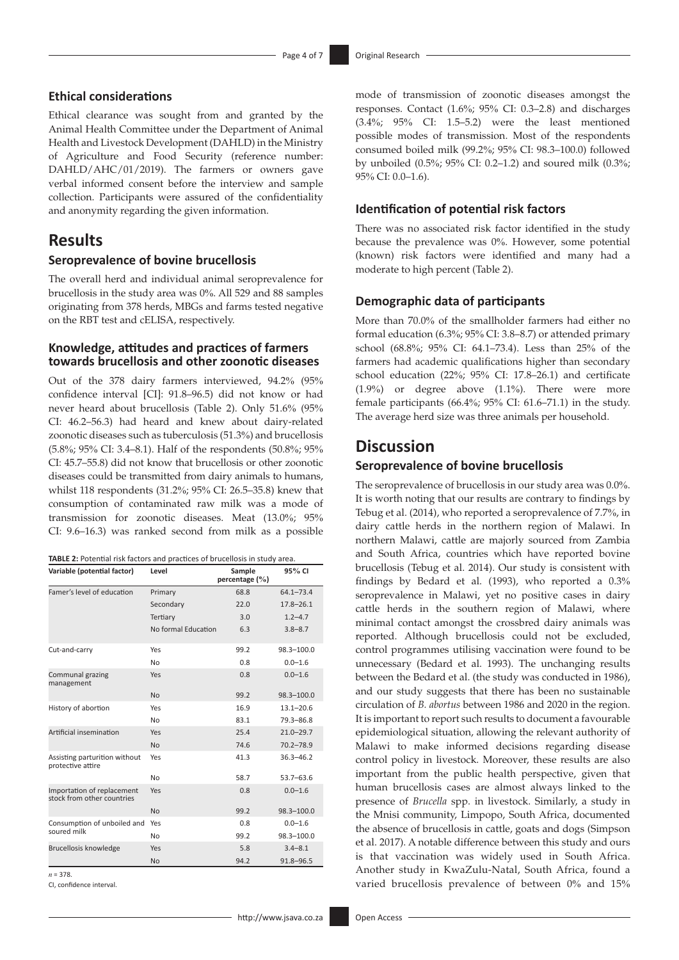#### **Ethical considerations**

Ethical clearance was sought from and granted by the Animal Health Committee under the Department of Animal Health and Livestock Development (DAHLD) in the Ministry of Agriculture and Food Security (reference number: DAHLD/AHC/01/2019). The farmers or owners gave verbal informed consent before the interview and sample collection. Participants were assured of the confidentiality and anonymity regarding the given information.

### **Results**

#### **Seroprevalence of bovine brucellosis**

The overall herd and individual animal seroprevalence for brucellosis in the study area was 0%. All 529 and 88 samples originating from 378 herds, MBGs and farms tested negative on the RBT test and cELISA, respectively.

#### **Knowledge, attitudes and practices of farmers towards brucellosis and other zoonotic diseases**

Out of the 378 dairy farmers interviewed, 94.2% (95% confidence interval [CI]: 91.8–96.5) did not know or had never heard about brucellosis (Table 2). Only 51.6% (95% CI: 46.2–56.3) had heard and knew about dairy-related zoonotic diseases such as tuberculosis (51.3%) and brucellosis (5.8%; 95% CI: 3.4–8.1). Half of the respondents (50.8%; 95% CI: 45.7–55.8) did not know that brucellosis or other zoonotic diseases could be transmitted from dairy animals to humans, whilst 118 respondents (31.2%; 95% CI: 26.5–35.8) knew that consumption of contaminated raw milk was a mode of transmission for zoonotic diseases. Meat (13.0%; 95% CI: 9.6–16.3) was ranked second from milk as a possible

| TABLE 2: Potential risk factors and practices of brucellosis in study area. |  |
|-----------------------------------------------------------------------------|--|
|-----------------------------------------------------------------------------|--|

| Variable (potential factor)                              | Level               | Sample<br>percentage (%) | $95\%$ CI      |
|----------------------------------------------------------|---------------------|--------------------------|----------------|
| Famer's level of education                               | Primary             | 68.8                     | $64.1 - 73.4$  |
|                                                          | Secondary           | 22.0                     | $17.8 - 26.1$  |
|                                                          | Tertiary            | 3.0                      | $1.2 - 4.7$    |
|                                                          | No formal Education | 6.3                      | $3.8 - 8.7$    |
| Cut-and-carry                                            | Yes                 | 99.2                     | 98.3-100.0     |
|                                                          | No                  | 0.8                      | $0.0 - 1.6$    |
| Communal grazing<br>management                           | Yes                 | 0.8                      | $0.0 - 1.6$    |
|                                                          | <b>No</b>           | 99.2                     | $98.3 - 100.0$ |
| History of abortion                                      | Yes                 | 16.9                     | $13.1 - 20.6$  |
|                                                          | No                  | 83.1                     | $79.3 - 86.8$  |
| Artificial insemination                                  | Yes                 | 25.4                     | $21.0 - 29.7$  |
|                                                          | <b>No</b>           | 74.6                     | $70.2 - 78.9$  |
| Assisting parturition without<br>protective attire       | Yes                 | 41.3                     | $36.3 - 46.2$  |
|                                                          | No                  | 58.7                     | $53.7 - 63.6$  |
| Importation of replacement<br>stock from other countries | Yes                 | 0.8                      | $0.0 - 1.6$    |
|                                                          | <b>No</b>           | 99.2                     | $98.3 - 100.0$ |
| Consumption of unboiled and                              | Yes                 | 0.8                      | $0.0 - 1.6$    |
| soured milk                                              | No                  | 99.2                     | 98.3-100.0     |
| Brucellosis knowledge                                    | Yes                 | 5.8                      | $3.4 - 8.1$    |
|                                                          | No                  | 94.2                     | $91.8 - 96.5$  |

*n* = 378.

CI, confidence interval.

mode of transmission of zoonotic diseases amongst the responses. Contact (1.6%; 95% CI: 0.3–2.8) and discharges (3.4%; 95% CI: 1.5–5.2) were the least mentioned possible modes of transmission. Most of the respondents consumed boiled milk (99.2%; 95% CI: 98.3–100.0) followed by unboiled (0.5%; 95% CI: 0.2–1.2) and soured milk (0.3%; 95% CI: 0.0–1.6).

#### **Identification of potential risk factors**

There was no associated risk factor identified in the study because the prevalence was 0%. However, some potential (known) risk factors were identified and many had a moderate to high percent (Table 2).

#### **Demographic data of participants**

More than 70.0% of the smallholder farmers had either no formal education (6.3%; 95% CI: 3.8–8.7) or attended primary school (68.8%; 95% CI: 64.1–73.4). Less than 25% of the farmers had academic qualifications higher than secondary school education (22%; 95% CI: 17.8–26.1) and certificate (1.9%) or degree above (1.1%). There were more female participants (66.4%; 95% CI: 61.6–71.1) in the study. The average herd size was three animals per household.

### **Discussion**

#### **Seroprevalence of bovine brucellosis**

The seroprevalence of brucellosis in our study area was 0.0%. It is worth noting that our results are contrary to findings by Tebug et al. (2014), who reported a seroprevalence of 7.7%, in dairy cattle herds in the northern region of Malawi. In northern Malawi, cattle are majorly sourced from Zambia and South Africa, countries which have reported bovine brucellosis (Tebug et al. 2014). Our study is consistent with findings by Bedard et al. (1993), who reported a 0.3% seroprevalence in Malawi, yet no positive cases in dairy cattle herds in the southern region of Malawi, where minimal contact amongst the crossbred dairy animals was reported. Although brucellosis could not be excluded, control programmes utilising vaccination were found to be unnecessary (Bedard et al. 1993). The unchanging results between the Bedard et al. (the study was conducted in 1986), and our study suggests that there has been no sustainable circulation of *B. abortus* between 1986 and 2020 in the region. It is important to report such results to document a favourable epidemiological situation, allowing the relevant authority of Malawi to make informed decisions regarding disease control policy in livestock. Moreover, these results are also important from the public health perspective, given that human brucellosis cases are almost always linked to the presence of *Brucella* spp. in livestock. Similarly, a study in the Mnisi community, Limpopo, South Africa, documented the absence of brucellosis in cattle, goats and dogs (Simpson et al. 2017). A notable difference between this study and ours is that vaccination was widely used in South Africa. Another study in KwaZulu-Natal, South Africa, found a varied brucellosis prevalence of between 0% and 15%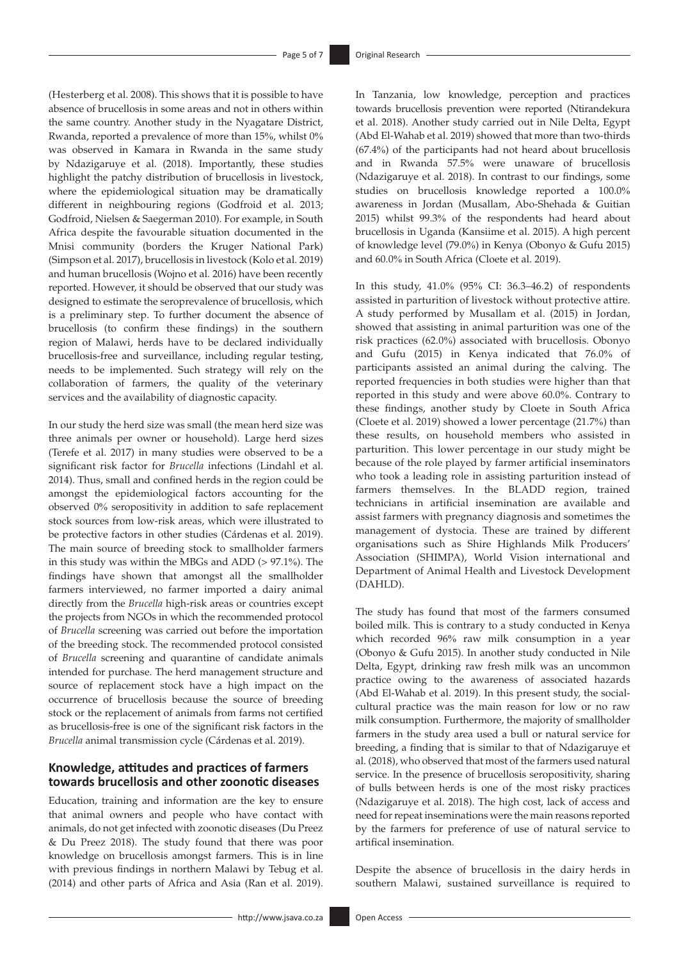(Hesterberg et al. 2008). This shows that it is possible to have absence of brucellosis in some areas and not in others within the same country. Another study in the Nyagatare District, Rwanda, reported a prevalence of more than 15%, whilst 0% was observed in Kamara in Rwanda in the same study by Ndazigaruye et al. (2018). Importantly, these studies highlight the patchy distribution of brucellosis in livestock, where the epidemiological situation may be dramatically different in neighbouring regions (Godfroid et al. 2013; Godfroid, Nielsen & Saegerman 2010). For example, in South Africa despite the favourable situation documented in the Mnisi community (borders the Kruger National Park) (Simpson et al. 2017), brucellosis in livestock (Kolo et al. 2019) and human brucellosis (Wojno et al. 2016) have been recently reported. However, it should be observed that our study was designed to estimate the seroprevalence of brucellosis, which is a preliminary step. To further document the absence of brucellosis (to confirm these findings) in the southern region of Malawi, herds have to be declared individually brucellosis-free and surveillance, including regular testing, needs to be implemented. Such strategy will rely on the collaboration of farmers, the quality of the veterinary services and the availability of diagnostic capacity.

In our study the herd size was small (the mean herd size was three animals per owner or household). Large herd sizes (Terefe et al. 2017) in many studies were observed to be a significant risk factor for *Brucella* infections (Lindahl et al. 2014). Thus, small and confined herds in the region could be amongst the epidemiological factors accounting for the observed 0% seropositivity in addition to safe replacement stock sources from low-risk areas, which were illustrated to be protective factors in other studies (Cárdenas et al. 2019). The main source of breeding stock to smallholder farmers in this study was within the MBGs and ADD (> 97.1%). The findings have shown that amongst all the smallholder farmers interviewed, no farmer imported a dairy animal directly from the *Brucella* high-risk areas or countries except the projects from NGOs in which the recommended protocol of *Brucella* screening was carried out before the importation of the breeding stock. The recommended protocol consisted of *Brucella* screening and quarantine of candidate animals intended for purchase. The herd management structure and source of replacement stock have a high impact on the occurrence of brucellosis because the source of breeding stock or the replacement of animals from farms not certified as brucellosis-free is one of the significant risk factors in the *Brucella* animal transmission cycle (Cárdenas et al. 2019).

#### **Knowledge, attitudes and practices of farmers towards brucellosis and other zoonotic diseases**

Education, training and information are the key to ensure that animal owners and people who have contact with animals, do not get infected with zoonotic diseases (Du Preez & Du Preez 2018). The study found that there was poor knowledge on brucellosis amongst farmers. This is in line with previous findings in northern Malawi by Tebug et al. (2014) and other parts of Africa and Asia (Ran et al. 2019).

In Tanzania, low knowledge, perception and practices towards brucellosis prevention were reported (Ntirandekura et al. 2018). Another study carried out in Nile Delta, Egypt (Abd El-Wahab et al. 2019) showed that more than two-thirds (67.4%) of the participants had not heard about brucellosis and in Rwanda 57.5% were unaware of brucellosis (Ndazigaruye et al. 2018). In contrast to our findings, some studies on brucellosis knowledge reported a 100.0% awareness in Jordan (Musallam, Abo-Shehada & Guitian 2015) whilst 99.3% of the respondents had heard about brucellosis in Uganda (Kansiime et al. 2015). A high percent of knowledge level (79.0%) in Kenya (Obonyo & Gufu 2015) and 60.0% in South Africa (Cloete et al. 2019).

In this study, 41.0% (95% CI: 36.3–46.2) of respondents assisted in parturition of livestock without protective attire. A study performed by Musallam et al. (2015) in Jordan, showed that assisting in animal parturition was one of the risk practices (62.0%) associated with brucellosis. Obonyo and Gufu (2015) in Kenya indicated that 76.0% of participants assisted an animal during the calving. The reported frequencies in both studies were higher than that reported in this study and were above 60.0%. Contrary to these findings, another study by Cloete in South Africa (Cloete et al. 2019) showed a lower percentage (21.7%) than these results, on household members who assisted in parturition. This lower percentage in our study might be because of the role played by farmer artificial inseminators who took a leading role in assisting parturition instead of farmers themselves. In the BLADD region, trained technicians in artificial insemination are available and assist farmers with pregnancy diagnosis and sometimes the management of dystocia. These are trained by different organisations such as Shire Highlands Milk Producers' Association (SHIMPA), World Vision international and Department of Animal Health and Livestock Development (DAHLD).

The study has found that most of the farmers consumed boiled milk. This is contrary to a study conducted in Kenya which recorded 96% raw milk consumption in a year (Obonyo & Gufu 2015). In another study conducted in Nile Delta, Egypt, drinking raw fresh milk was an uncommon practice owing to the awareness of associated hazards (Abd El-Wahab et al. 2019). In this present study, the socialcultural practice was the main reason for low or no raw milk consumption. Furthermore, the majority of smallholder farmers in the study area used a bull or natural service for breeding, a finding that is similar to that of Ndazigaruye et al. (2018), who observed that most of the farmers used natural service. In the presence of brucellosis seropositivity, sharing of bulls between herds is one of the most risky practices (Ndazigaruye et al. 2018). The high cost, lack of access and need for repeat inseminations were the main reasons reported by the farmers for preference of use of natural service to artifical insemination.

Despite the absence of brucellosis in the dairy herds in southern Malawi, sustained surveillance is required to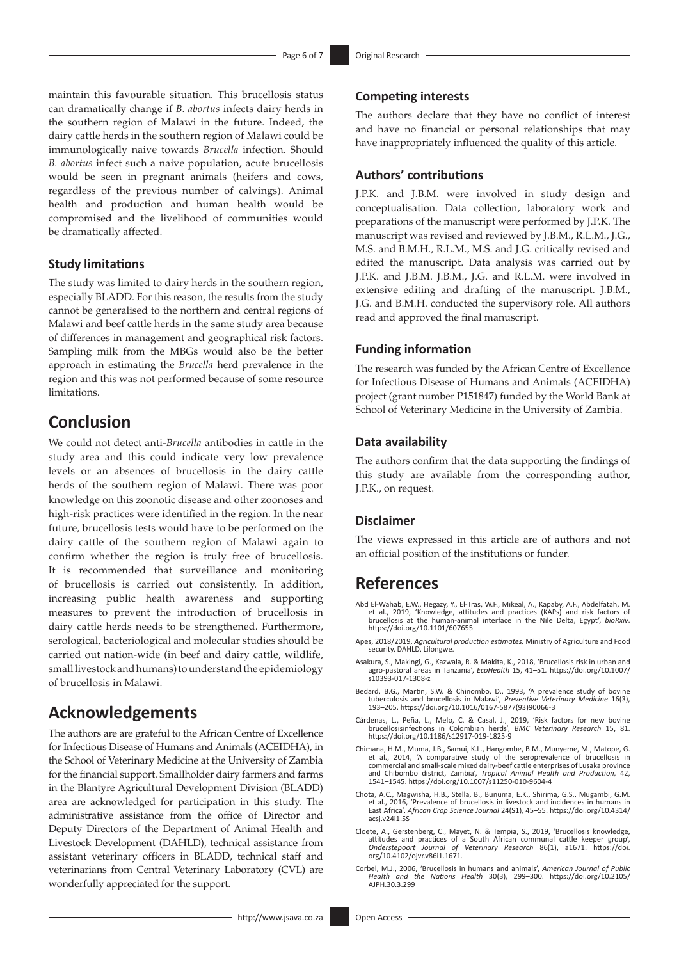maintain this favourable situation. This brucellosis status can dramatically change if *B. abortus* infects dairy herds in the southern region of Malawi in the future. Indeed, the dairy cattle herds in the southern region of Malawi could be immunologically naive towards *Brucella* infection. Should *B. abortus* infect such a naive population, acute brucellosis would be seen in pregnant animals (heifers and cows, regardless of the previous number of calvings). Animal health and production and human health would be compromised and the livelihood of communities would be dramatically affected.

#### **Study limitations**

The study was limited to dairy herds in the southern region, especially BLADD. For this reason, the results from the study cannot be generalised to the northern and central regions of Malawi and beef cattle herds in the same study area because of differences in management and geographical risk factors. Sampling milk from the MBGs would also be the better approach in estimating the *Brucella* herd prevalence in the region and this was not performed because of some resource limitations.

# **Conclusion**

We could not detect anti-*Brucella* antibodies in cattle in the study area and this could indicate very low prevalence levels or an absences of brucellosis in the dairy cattle herds of the southern region of Malawi. There was poor knowledge on this zoonotic disease and other zoonoses and high-risk practices were identified in the region. In the near future, brucellosis tests would have to be performed on the dairy cattle of the southern region of Malawi again to confirm whether the region is truly free of brucellosis. It is recommended that surveillance and monitoring of brucellosis is carried out consistently. In addition, increasing public health awareness and supporting measures to prevent the introduction of brucellosis in dairy cattle herds needs to be strengthened. Furthermore, serological, bacteriological and molecular studies should be carried out nation-wide (in beef and dairy cattle, wildlife, small livestock and humans) to understand the epidemiology of brucellosis in Malawi.

## **Acknowledgements**

The authors are are grateful to the African Centre of Excellence for Infectious Disease of Humans and Animals (ACEIDHA), in the School of Veterinary Medicine at the University of Zambia for the financial support. Smallholder dairy farmers and farms in the Blantyre Agricultural Development Division (BLADD) area are acknowledged for participation in this study. The administrative assistance from the office of Director and Deputy Directors of the Department of Animal Health and Livestock Development (DAHLD), technical assistance from assistant veterinary officers in BLADD, technical staff and veterinarians from Central Veterinary Laboratory (CVL) are wonderfully appreciated for the support.

#### **Competing interests**

The authors declare that they have no conflict of interest and have no financial or personal relationships that may have inappropriately influenced the quality of this article.

#### **Authors' contributions**

J.P.K. and J.B.M. were involved in study design and conceptualisation. Data collection, laboratory work and preparations of the manuscript were performed by J.P.K. The manuscript was revised and reviewed by J.B.M., R.L.M., J.G., M.S. and B.M.H., R.L.M., M.S. and J.G. critically revised and edited the manuscript. Data analysis was carried out by J.P.K. and J.B.M. J.B.M., J.G. and R.L.M. were involved in extensive editing and drafting of the manuscript. J.B.M., J.G. and B.M.H. conducted the supervisory role. All authors read and approved the final manuscript.

#### **Funding information**

The research was funded by the African Centre of Excellence for Infectious Disease of Humans and Animals (ACEIDHA) project (grant number P151847) funded by the World Bank at School of Veterinary Medicine in the University of Zambia.

#### **Data availability**

The authors confirm that the data supporting the findings of this study are available from the corresponding author, J.P.K., on request.

#### **Disclaimer**

The views expressed in this article are of authors and not an official position of the institutions or funder.

### **References**

- Abd El-Wahab, E.W., Hegazy, Y., El-Tras, W.F., Mikeal, A., Kapaby, A.F., Abdelfatah, M.<br>et al., 2019, 'Knowledge, attitudes and practices (KAPs) and risk factors of<br>brucellosis at the human-animal interface in the Nile Del <https://doi.org/10.1101/607655>
- Apes, 2018/2019, *Agricultural production estimates,* Ministry of Agriculture and Food security, DAHLD, Lilongwe.
- Asakura, S., Makingi, G., Kazwala, R. & Makita, K., 2018, 'Brucellosis risk in urban and agro-pastoral areas in Tanzania', *EcoHealth* 15, 41–51*.* [https://doi.org/10.1007/](https://doi.org/10.1007/s10393-017-1308-z) [s10393-017-1308-z](https://doi.org/10.1007/s10393-017-1308-z)
- Bedard, B.G., Martin, S.W. & Chinombo, D., 1993, 'A prevalence study of bovine tuberculosis and brucellosis in Malawi', *Preventive Veterinary Medicine* 16(3), 193–205. [https://doi.org/10.1016/0167-5877\(93\)90066-3](https://doi.org/10.1016/0167-5877(93)90066-3)
- Cárdenas, L., Peña, L., Melo, C. & Casal, J., 2019, 'Risk factors for new bovine brucellosisinfections in Colombian herds', *BMC Veterinary Research* 15, 81. <https://doi.org/10.1186/s12917-019-1825-9>
- Chimana, H.M., Muma, J.B., Samui, K.L., Hangombe, B.M., Munyeme, M., Matope, G. et al., 2014, 'A comparative study of the seroprevalence of brucellosis in commercial and small-scale mixed dairy-beef cattle enterprises of Lusaka province and Chibombo district, Zambia', *Tropical Animal Health and Production,* 42, 1541–1545.<https://doi.org/10.1007/s11250-010-9604-4>
- Chota, A.C., Magwisha, H.B., Stella, B., Bunuma, E.K., Shirima, G.S., Mugambi, G.M. et al., 2016, 'Prevalence of brucellosis in livestock and incidences in humans in East Africa', *African Crop Science Journal* 24(S1), 45–55. [https://doi.org/10.4314/](https://doi.org/10.4314/acsj.v24i1.5S) [acsj.v24i1.5S](https://doi.org/10.4314/acsj.v24i1.5S)
- Cloete, A., Gerstenberg, C., Mayet, N. & Tempia, S., 2019, 'Brucellosis knowledge, attitudes and practices of a South African communal cattle keeper group, Onderstepoort Journal Communal cattle keeper group, Onderstepoort
- Corbel, M.J., 2006, 'Brucellosis in humans and animals', *American Journal of Public Health and the Nations Health* 30(3), 299–300. [https://doi.org/10.2105/](https://doi.org/10.2105/AJPH.30.3.299) [AJPH.30.3.299](https://doi.org/10.2105/AJPH.30.3.299)